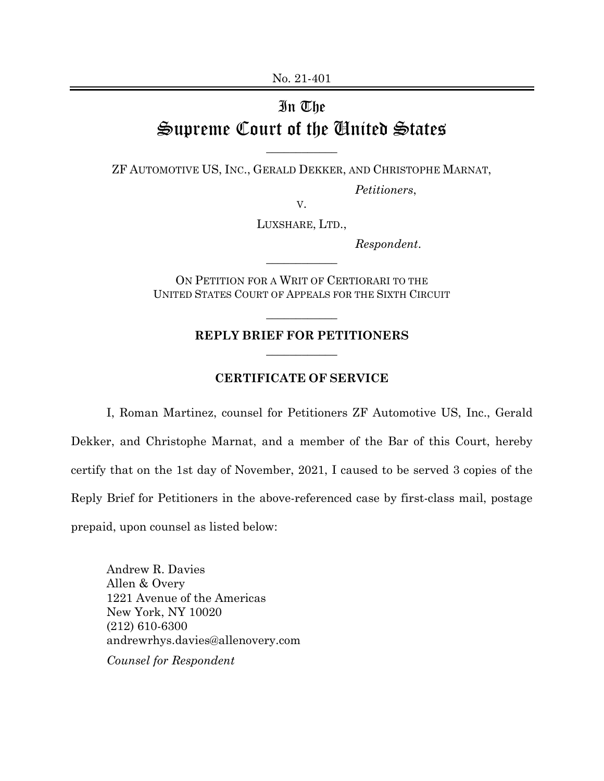No. 21-401

## In The Supreme Court of the United States

ZF AUTOMOTIVE US, INC., GERALD DEKKER, AND CHRISTOPHE MARNAT,

 $\overline{\phantom{a}}$  , where  $\overline{\phantom{a}}$ 

*Petitioners*,

V.

LUXSHARE, LTD.,

*Respondent*.

ON PETITION FOR A WRIT OF CERTIORARI TO THE UNITED STATES COURT OF APPEALS FOR THE SIXTH CIRCUIT

 $\overline{\phantom{a}}$  , where  $\overline{\phantom{a}}$ 

## **REPLY BRIEF FOR PETITIONERS**   $\overline{\phantom{a}}$  , where  $\overline{\phantom{a}}$

 $\overline{\phantom{a}}$  , where  $\overline{\phantom{a}}$ 

## **CERTIFICATE OF SERVICE**

I, Roman Martinez, counsel for Petitioners ZF Automotive US, Inc., Gerald Dekker, and Christophe Marnat, and a member of the Bar of this Court, hereby certify that on the 1st day of November, 2021, I caused to be served 3 copies of the Reply Brief for Petitioners in the above-referenced case by first-class mail, postage prepaid, upon counsel as listed below:

Andrew R. Davies Allen & Overy 1221 Avenue of the Americas New York, NY 10020 (212) 610-6300 andrewrhys.davies@allenovery.com *Counsel for Respondent*